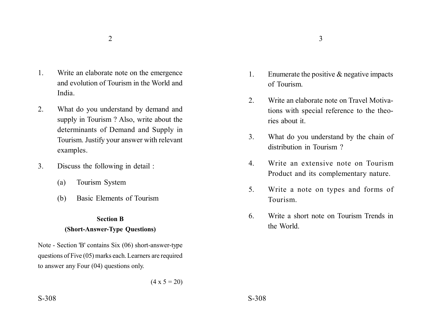- 1. Write an elaborate note on the emergence and evolution of Tourism in the World and India.
- 2. What do you understand by demand and supply in Tourism ? Also, write about the determinants of Demand and Supply in Tourism. Justify your answer with relevant examples.
- 3. Discuss the following in detail :
	- (a) Tourism System
	- (b) Basic Elements of Tourism

## **Section B (Short-Answer-Type Questions)**

Note - Section 'B' contains Six (06) short-answer-type questions of Five (05) marks each. Learners are required to answer any Four (04) questions only.

$$
(4 \times 5 = 20)
$$

1. Enumerate the positive  $\&$  negative impacts of Tourism.

- 2. Write an elaborate note on Travel Motivations with special reference to the theories about it.
- 3. What do you understand by the chain of distribution in Tourism ?
- 4. Write an extensive note on Tourism Product and its complementary nature.
- 5. Write a note on types and forms of Tourism.
- 6. Write a short note on Tourism Trends in the World.

 $S-308$   $S-308$